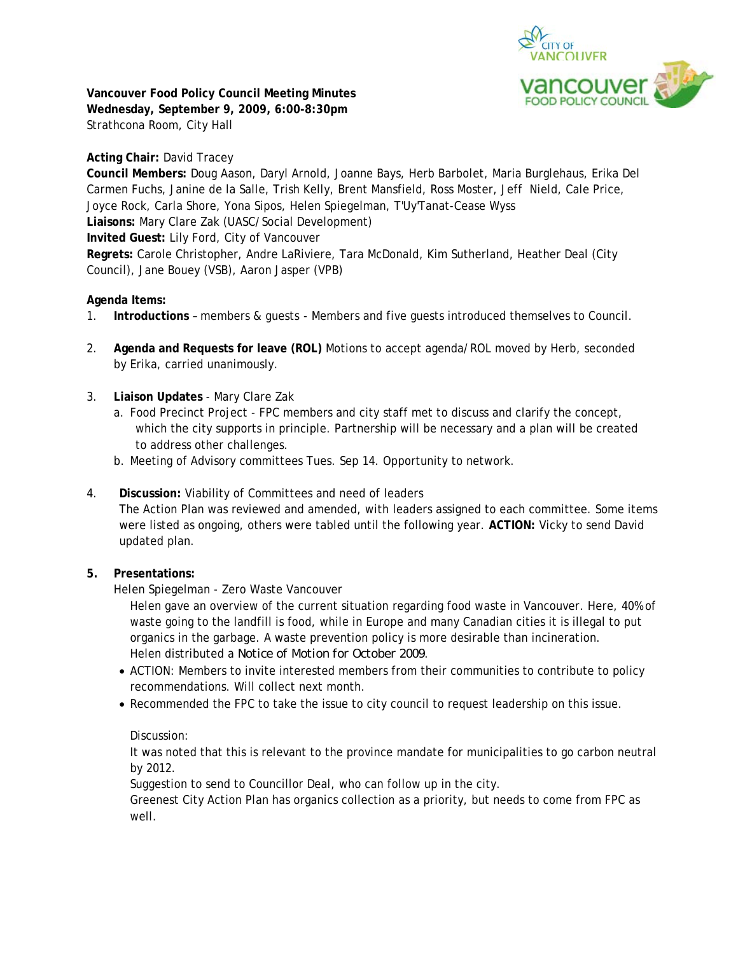

**Vancouver Food Policy Council Meeting Minutes Wednesday, September 9, 2009, 6:00-8:30pm**  Strathcona Room, City Hall

## **Acting Chair:** David Tracey

**Council Members:** Doug Aason, Daryl Arnold, Joanne Bays, Herb Barbolet, Maria Burglehaus, Erika Del Carmen Fuchs, Janine de la Salle, Trish Kelly, Brent Mansfield, Ross Moster, Jeff Nield, Cale Price, Joyce Rock, Carla Shore, Yona Sipos, Helen Spiegelman, T'Uy'Tanat-Cease Wyss **Liaisons:** Mary Clare Zak (UASC/Social Development) **Invited Guest:** Lily Ford, City of Vancouver **Regrets:** Carole Christopher, Andre LaRiviere, Tara McDonald, Kim Sutherland, Heather Deal (City Council), Jane Bouey (VSB), Aaron Jasper (VPB)

### **Agenda Items:**

- 1. **Introductions** members & guests Members and five guests introduced themselves to Council.
- 2. **Agenda and Requests for leave (ROL)** Motions to accept agenda/ROL moved by Herb, seconded by Erika, carried unanimously.
- 3. **Liaison Updates** Mary Clare Zak
	- a. Food Precinct Project FPC members and city staff met to discuss and clarify the concept, which the city supports in principle. Partnership will be necessary and a plan will be created to address other challenges.
	- b. Meeting of Advisory committees Tues. Sep 14. Opportunity to network.
- 4. **Discussion:** Viability of Committees and need of leaders

The Action Plan was reviewed and amended, with leaders assigned to each committee. Some items were listed as ongoing, others were tabled until the following year. **ACTION:** Vicky to send David updated plan.

### **5. Presentations:**

Helen Spiegelman - Zero Waste Vancouver

Helen gave an overview of the current situation regarding food waste in Vancouver. Here, 40% of waste going to the landfill is food, while in Europe and many Canadian cities it is illegal to put organics in the garbage. A waste prevention policy is more desirable than incineration. Helen distributed a *Notice of Motion for October 2009*.

- ACTION: Members to invite interested members from their communities to contribute to policy recommendations. Will collect next month.
- Recommended the FPC to take the issue to city council to request leadership on this issue.

### Discussion:

It was noted that this is relevant to the province mandate for municipalities to go carbon neutral by 2012.

Suggestion to send to Councillor Deal, who can follow up in the city.

Greenest City Action Plan has organics collection as a priority, but needs to come from FPC as well.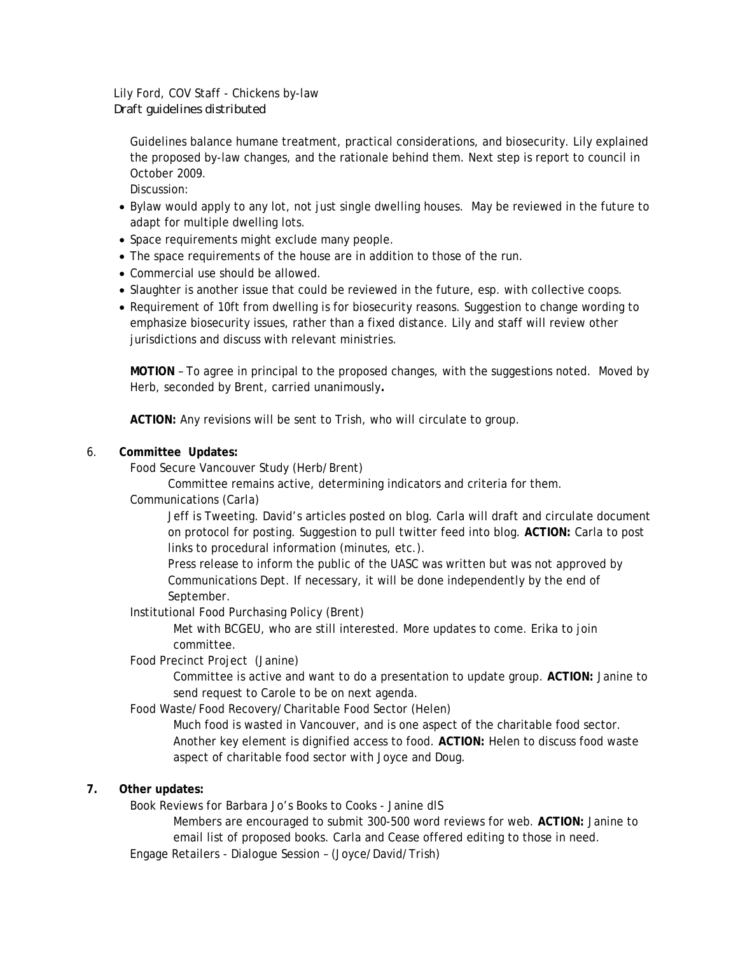# Lily Ford, COV Staff - Chickens by-law *Draft guidelines distributed*

Guidelines balance humane treatment, practical considerations, and biosecurity. Lily explained the proposed by-law changes, and the rationale behind them. Next step is report to council in October 2009.

Discussion:

- Bylaw would apply to any lot, not just single dwelling houses. May be reviewed in the future to adapt for multiple dwelling lots.
- Space requirements might exclude many people.
- The space requirements of the house are in addition to those of the run.
- Commercial use should be allowed.
- Slaughter is another issue that could be reviewed in the future, esp. with collective coops.
- Requirement of 10ft from dwelling is for biosecurity reasons. Suggestion to change wording to emphasize biosecurity issues, rather than a fixed distance. Lily and staff will review other jurisdictions and discuss with relevant ministries.

**MOTION** – To agree in principal to the proposed changes, with the suggestions noted. Moved by Herb, seconded by Brent, carried unanimously**.** 

**ACTION:** Any revisions will be sent to Trish, who will circulate to group.

### 6. **Committee Updates:**

Food Secure Vancouver Study (Herb/Brent)

Committee remains active, determining indicators and criteria for them.

Communications (Carla)

Jeff is Tweeting. David's articles posted on blog. Carla will draft and circulate document on protocol for posting. Suggestion to pull twitter feed into blog. **ACTION:** Carla to post links to procedural information (minutes, etc.).

Press release to inform the public of the UASC was written but was not approved by Communications Dept. If necessary, it will be done independently by the end of September.

Institutional Food Purchasing Policy (Brent)

Met with BCGEU, who are still interested. More updates to come. Erika to join committee.

Food Precinct Project (Janine)

Committee is active and want to do a presentation to update group. **ACTION:** Janine to send request to Carole to be on next agenda.

Food Waste/Food Recovery/Charitable Food Sector (Helen)

Much food is wasted in Vancouver, and is one aspect of the charitable food sector. Another key element is dignified access to food. **ACTION:** Helen to discuss food waste aspect of charitable food sector with Joyce and Doug.

### **7. Other updates:**

Book Reviews for Barbara Jo's Books to Cooks - Janine dlS

Members are encouraged to submit 300-500 word reviews for web. **ACTION:** Janine to email list of proposed books. Carla and Cease offered editing to those in need.

Engage Retailers - Dialogue Session – (Joyce/David/Trish)